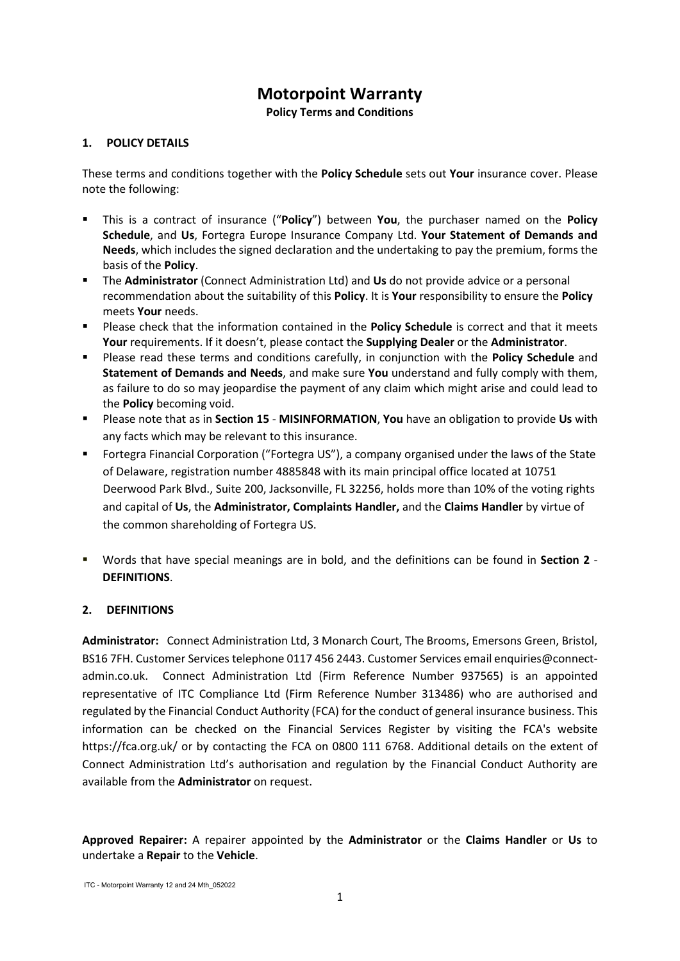# **Motorpoint Warranty**

**Policy Terms and Conditions**

# **1. POLICY DETAILS**

These terms and conditions together with the **Policy Schedule** sets out **Your** insurance cover. Please note the following:

- This is a contract of insurance ("**Policy**") between **You**, the purchaser named on the **Policy Schedule**, and **Us**, Fortegra Europe Insurance Company Ltd. **Your Statement of Demands and Needs**, which includes the signed declaration and the undertaking to pay the premium, forms the basis of the **Policy**.
- The **Administrator** (Connect Administration Ltd) and **Us** do not provide advice or a personal recommendation about the suitability of this **Policy**. It is **Your** responsibility to ensure the **Policy** meets **Your** needs.
- Please check that the information contained in the **Policy Schedule** is correct and that it meets **Your** requirements. If it doesn't, please contact the **Supplying Dealer** or the **Administrator**.
- Please read these terms and conditions carefully, in conjunction with the **Policy Schedule** and **Statement of Demands and Needs**, and make sure **You** understand and fully comply with them, as failure to do so may jeopardise the payment of any claim which might arise and could lead to the **Policy** becoming void.
- Please note that as in **Section 15 MISINFORMATION**, **You** have an obligation to provide **Us** with any facts which may be relevant to this insurance.
- Fortegra Financial Corporation ("Fortegra US"), a company organised under the laws of the State of Delaware, registration number 4885848 with its main principal office located at 10751 Deerwood Park Blvd., Suite 200, Jacksonville, FL 32256, holds more than 10% of the voting rights and capital of **Us**, the **Administrator, Complaints Handler,** and the **Claims Handler** by virtue of the common shareholding of Fortegra US.
- Words that have special meanings are in bold, and the definitions can be found in **Section 2 DEFINITIONS**.

# **2. DEFINITIONS**

**Administrator:** Connect Administration Ltd, 3 Monarch Court, The Brooms, Emersons Green, Bristol, BS16 7FH. Customer Services telephone 0117 456 2443. Customer Services email enquiries@connectadmin.co.uk. Connect Administration Ltd (Firm Reference Number 937565) is an appointed representative of ITC Compliance Ltd (Firm Reference Number 313486) who are authorised and regulated by the Financial Conduct Authority (FCA) for the conduct of general insurance business. This information can be checked on the Financial Services Register by visiting the FCA's website https://fca.org.uk/ or by contacting the FCA on 0800 111 6768. Additional details on the extent of Connect Administration Ltd's authorisation and regulation by the Financial Conduct Authority are available from the **Administrator** on request.

**Approved Repairer:** A repairer appointed by the **Administrator** or the **Claims Handler** or **Us** to undertake a **Repair** to the **Vehicle**.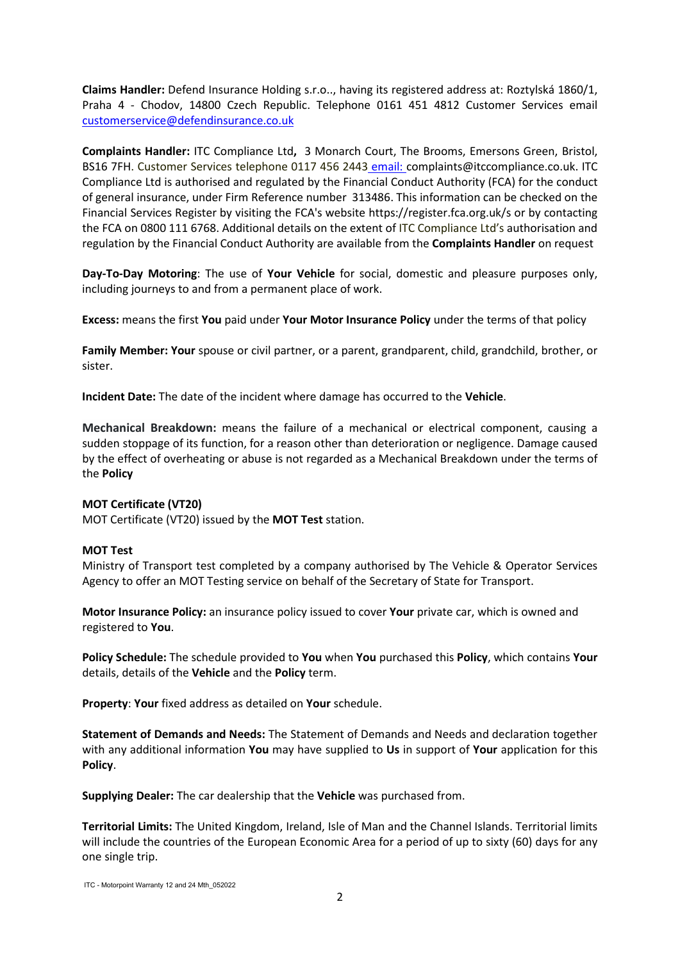**Claims Handler:** Defend Insurance Holding s.r.o.., having its registered address at: Roztylská 1860/1, Praha 4 - Chodov, 14800 Czech Republic. Telephone 0161 451 4812 Customer Services email [customerservice@defendinsurance.co.uk](mailto:customerservice@defendinsurance.co.uk)

**Complaints Handler:** ITC Compliance Ltd**,** 3 Monarch Court, The Brooms, Emersons Green, Bristol, BS16 7FH. Customer Services telephone 0117 456 2443 email: complaints@itccompliance.co.uk. ITC Compliance Ltd is authorised and regulated by the Financial Conduct Authority (FCA) for the conduct of general insurance, under Firm Reference number 313486. This information can be checked on the Financial Services Register by visiting the FCA's website https://register.fca.org.uk/s or by contacting the FCA on 0800 111 6768. Additional details on the extent of ITC Compliance Ltd's authorisation and regulation by the Financial Conduct Authority are available from the **Complaints Handler** on request

**Day-To-Day Motoring**: The use of **Your Vehicle** for social, domestic and pleasure purposes only, including journeys to and from a permanent place of work.

**Excess:** means the first **You** paid under **Your Motor Insurance Policy** under the terms of that policy

**Family Member: Your** spouse or civil partner, or a parent, grandparent, child, grandchild, brother, or sister.

**Incident Date:** The date of the incident where damage has occurred to the **Vehicle**.

**Mechanical Breakdown:** means the failure of a mechanical or electrical component, causing a sudden stoppage of its function, for a reason other than deterioration or negligence. Damage caused by the effect of overheating or abuse is not regarded as a Mechanical Breakdown under the terms of the **Policy**

#### **MOT Certificate (VT20)**

MOT Certificate (VT20) issued by the **MOT Test** station.

#### **MOT Test**

Ministry of Transport test completed by a company authorised by The Vehicle & Operator Services Agency to offer an MOT Testing service on behalf of the Secretary of State for Transport.

**Motor Insurance Policy:** an insurance policy issued to cover **Your** private car, which is owned and registered to **You**.

**Policy Schedule:** The schedule provided to **You** when **You** purchased this **Policy**, which contains **Your** details, details of the **Vehicle** and the **Policy** term.

**Property**: **Your** fixed address as detailed on **Your** schedule.

**Statement of Demands and Needs:** The Statement of Demands and Needs and declaration together with any additional information **You** may have supplied to **Us** in support of **Your** application for this **Policy**.

**Supplying Dealer:** The car dealership that the **Vehicle** was purchased from.

**Territorial Limits:** The United Kingdom, Ireland, Isle of Man and the Channel Islands. Territorial limits will include the countries of the European Economic Area for a period of up to sixty (60) days for any one single trip.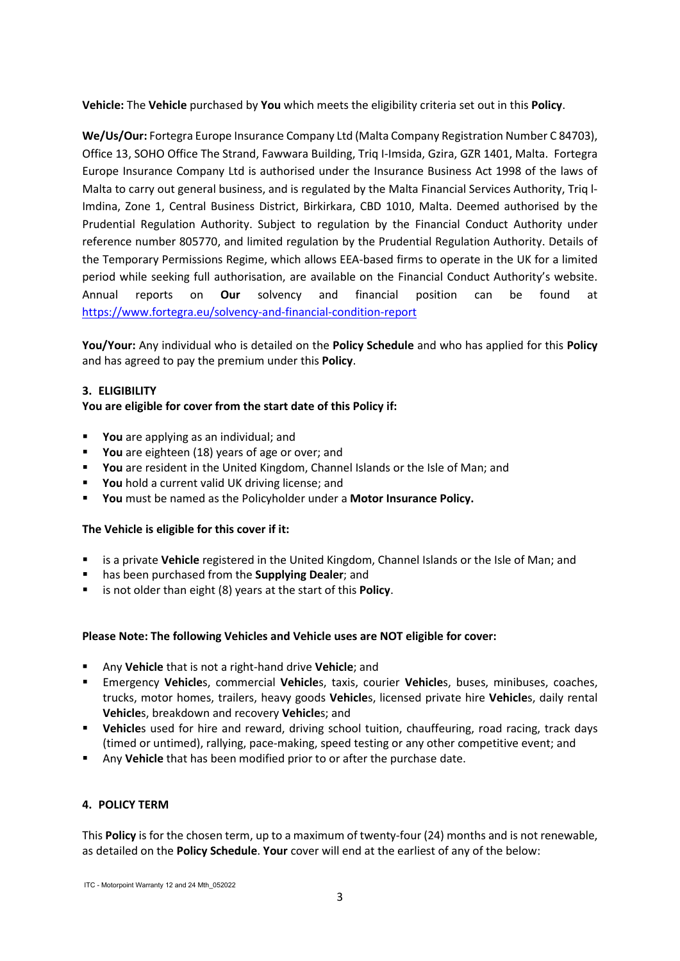**Vehicle:** The **Vehicle** purchased by **You** which meets the eligibility criteria set out in this **Policy**.

**We/Us/Our:** Fortegra Europe Insurance Company Ltd (Malta Company Registration Number C 84703), Office 13, SOHO Office The Strand, Fawwara Building, Triq I-Imsida, Gzira, GZR 1401, Malta. Fortegra Europe Insurance Company Ltd is authorised under the Insurance Business Act 1998 of the laws of Malta to carry out general business, and is regulated by the Malta Financial Services Authority, Triq l-Imdina, Zone 1, Central Business District, Birkirkara, CBD 1010, Malta. Deemed authorised by the Prudential Regulation Authority. Subject to regulation by the Financial Conduct Authority under reference number 805770, and limited regulation by the Prudential Regulation Authority. Details of the Temporary Permissions Regime, which allows EEA-based firms to operate in the UK for a limited period while seeking full authorisation, are available on the Financial Conduct Authority's website. Annual reports on **Our** solvency and financial position can be found at <https://www.fortegra.eu/solvency-and-financial-condition-report>

**You/Your:** Any individual who is detailed on the **Policy Schedule** and who has applied for this **Policy** and has agreed to pay the premium under this **Policy**.

## **3. ELIGIBILITY**

#### **You are eligible for cover from the start date of this Policy if:**

- **You** are applying as an individual; and
- **You** are eighteen (18) years of age or over; and
- **You** are resident in the United Kingdom, Channel Islands or the Isle of Man; and
- **You** hold a current valid UK driving license; and
- **You** must be named as the Policyholder under a **Motor Insurance Policy.**

#### **The Vehicle is eligible for this cover if it:**

- is a private **Vehicle** registered in the United Kingdom, Channel Islands or the Isle of Man; and
- has been purchased from the **Supplying Dealer**; and
- is not older than eight (8) years at the start of this **Policy**.

#### **Please Note: The following Vehicles and Vehicle uses are NOT eligible for cover:**

- Any **Vehicle** that is not a right-hand drive **Vehicle**; and
- Emergency **Vehicle**s, commercial **Vehicle**s, taxis, courier **Vehicle**s, buses, minibuses, coaches, trucks, motor homes, trailers, heavy goods **Vehicle**s, licensed private hire **Vehicle**s, daily rental **Vehicle**s, breakdown and recovery **Vehicle**s; and
- **Vehicle**s used for hire and reward, driving school tuition, chauffeuring, road racing, track days (timed or untimed), rallying, pace-making, speed testing or any other competitive event; and
- Any **Vehicle** that has been modified prior to or after the purchase date.

# **4. POLICY TERM**

This **Policy** is for the chosen term, up to a maximum of twenty-four (24) months and is not renewable, as detailed on the **Policy Schedule**. **Your** cover will end at the earliest of any of the below: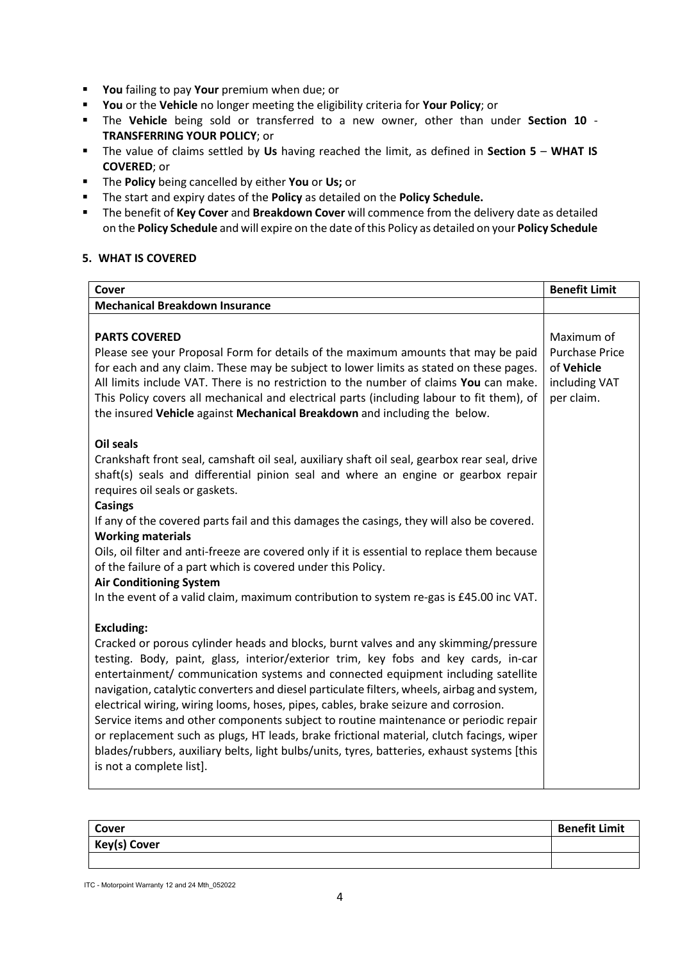- **You** failing to pay **Your** premium when due; or
- **You** or the **Vehicle** no longer meeting the eligibility criteria for **Your Policy**; or
- The **Vehicle** being sold or transferred to a new owner, other than under **Section 10 TRANSFERRING YOUR POLICY**; or
- The value of claims settled by **Us** having reached the limit, as defined in **Section 5 WHAT IS COVERED**; or
- The **Policy** being cancelled by either **You** or **Us;** or
- The start and expiry dates of the **Policy** as detailed on the **Policy Schedule.**
- The benefit of **Key Cover** and **Breakdown Cover** will commence from the delivery date as detailed on the **Policy Schedule** and will expire on the date of this Policy as detailed on your **Policy Schedule**

# **5. WHAT IS COVERED**

| Cover                                                                                                                                                                                                                                                                                                                                                                                                                                                                                                                                                                                                                                                                                                                                                                                    | <b>Benefit Limit</b>                                                             |
|------------------------------------------------------------------------------------------------------------------------------------------------------------------------------------------------------------------------------------------------------------------------------------------------------------------------------------------------------------------------------------------------------------------------------------------------------------------------------------------------------------------------------------------------------------------------------------------------------------------------------------------------------------------------------------------------------------------------------------------------------------------------------------------|----------------------------------------------------------------------------------|
| <b>Mechanical Breakdown Insurance</b>                                                                                                                                                                                                                                                                                                                                                                                                                                                                                                                                                                                                                                                                                                                                                    |                                                                                  |
| <b>PARTS COVERED</b><br>Please see your Proposal Form for details of the maximum amounts that may be paid<br>for each and any claim. These may be subject to lower limits as stated on these pages.<br>All limits include VAT. There is no restriction to the number of claims You can make.<br>This Policy covers all mechanical and electrical parts (including labour to fit them), of<br>the insured Vehicle against Mechanical Breakdown and including the below.                                                                                                                                                                                                                                                                                                                   | Maximum of<br><b>Purchase Price</b><br>of Vehicle<br>including VAT<br>per claim. |
| <b>Oil seals</b><br>Crankshaft front seal, camshaft oil seal, auxiliary shaft oil seal, gearbox rear seal, drive<br>shaft(s) seals and differential pinion seal and where an engine or gearbox repair<br>requires oil seals or gaskets.<br><b>Casings</b><br>If any of the covered parts fail and this damages the casings, they will also be covered.<br><b>Working materials</b><br>Oils, oil filter and anti-freeze are covered only if it is essential to replace them because<br>of the failure of a part which is covered under this Policy.<br><b>Air Conditioning System</b><br>In the event of a valid claim, maximum contribution to system re-gas is £45.00 inc VAT.                                                                                                          |                                                                                  |
| <b>Excluding:</b><br>Cracked or porous cylinder heads and blocks, burnt valves and any skimming/pressure<br>testing. Body, paint, glass, interior/exterior trim, key fobs and key cards, in-car<br>entertainment/ communication systems and connected equipment including satellite<br>navigation, catalytic converters and diesel particulate filters, wheels, airbag and system,<br>electrical wiring, wiring looms, hoses, pipes, cables, brake seizure and corrosion.<br>Service items and other components subject to routine maintenance or periodic repair<br>or replacement such as plugs, HT leads, brake frictional material, clutch facings, wiper<br>blades/rubbers, auxiliary belts, light bulbs/units, tyres, batteries, exhaust systems [this<br>is not a complete list]. |                                                                                  |

| Cover        | <b>Benefit Limit</b> |
|--------------|----------------------|
| Key(s) Cover |                      |
|              |                      |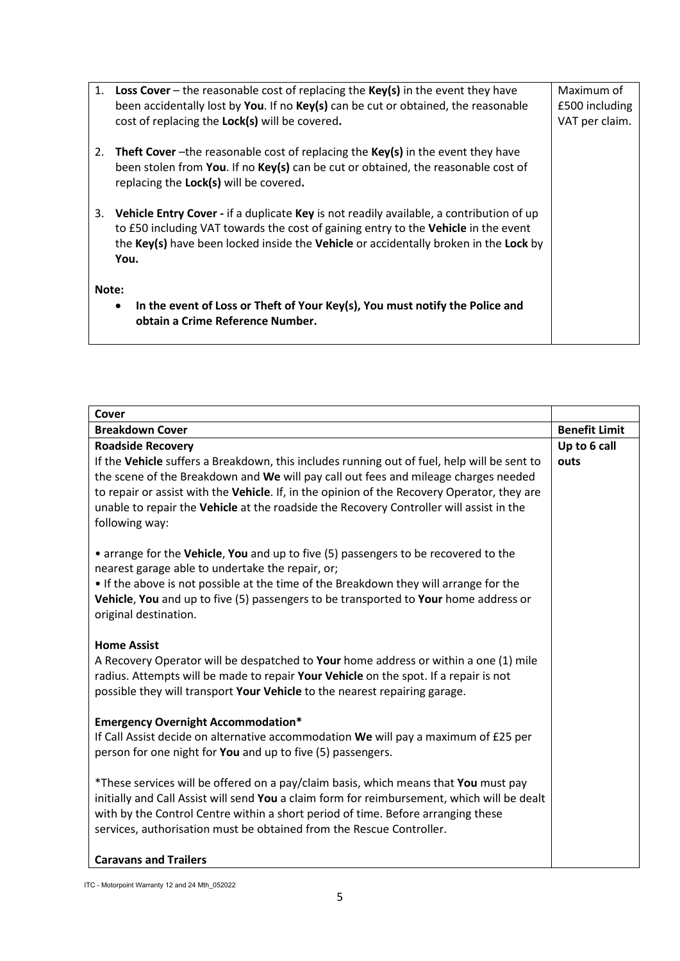|                                                                                           |    | 1. Loss Cover – the reasonable cost of replacing the Key(s) in the event they have       | Maximum of     |
|-------------------------------------------------------------------------------------------|----|------------------------------------------------------------------------------------------|----------------|
|                                                                                           |    | been accidentally lost by You. If no Key(s) can be cut or obtained, the reasonable       | £500 including |
|                                                                                           |    | cost of replacing the Lock(s) will be covered.                                           | VAT per claim. |
|                                                                                           |    |                                                                                          |                |
|                                                                                           | 2. | <b>Theft Cover</b> -the reasonable cost of replacing the $Key(s)$ in the event they have |                |
|                                                                                           |    | been stolen from You. If no Key(s) can be cut or obtained, the reasonable cost of        |                |
|                                                                                           |    | replacing the Lock(s) will be covered.                                                   |                |
|                                                                                           |    |                                                                                          |                |
|                                                                                           | 3. | Vehicle Entry Cover - if a duplicate Key is not readily available, a contribution of up  |                |
|                                                                                           |    | to £50 including VAT towards the cost of gaining entry to the Vehicle in the event       |                |
|                                                                                           |    | the Key(s) have been locked inside the Vehicle or accidentally broken in the Lock by     |                |
|                                                                                           |    | You.                                                                                     |                |
|                                                                                           |    |                                                                                          |                |
| Note:                                                                                     |    |                                                                                          |                |
| In the event of Loss or Theft of Your Key(s), You must notify the Police and<br>$\bullet$ |    |                                                                                          |                |
|                                                                                           |    | obtain a Crime Reference Number.                                                         |                |
|                                                                                           |    |                                                                                          |                |

| Cover                                                                                                                                                                        |                      |
|------------------------------------------------------------------------------------------------------------------------------------------------------------------------------|----------------------|
| <b>Breakdown Cover</b>                                                                                                                                                       | <b>Benefit Limit</b> |
| <b>Roadside Recovery</b>                                                                                                                                                     | Up to 6 call         |
| If the Vehicle suffers a Breakdown, this includes running out of fuel, help will be sent to                                                                                  | outs                 |
| the scene of the Breakdown and We will pay call out fees and mileage charges needed                                                                                          |                      |
| to repair or assist with the Vehicle. If, in the opinion of the Recovery Operator, they are                                                                                  |                      |
| unable to repair the Vehicle at the roadside the Recovery Controller will assist in the                                                                                      |                      |
| following way:                                                                                                                                                               |                      |
|                                                                                                                                                                              |                      |
| • arrange for the Vehicle, You and up to five (5) passengers to be recovered to the                                                                                          |                      |
| nearest garage able to undertake the repair, or;                                                                                                                             |                      |
| • If the above is not possible at the time of the Breakdown they will arrange for the                                                                                        |                      |
| Vehicle, You and up to five (5) passengers to be transported to Your home address or                                                                                         |                      |
| original destination.                                                                                                                                                        |                      |
|                                                                                                                                                                              |                      |
| <b>Home Assist</b>                                                                                                                                                           |                      |
| A Recovery Operator will be despatched to Your home address or within a one (1) mile<br>radius. Attempts will be made to repair Your Vehicle on the spot. If a repair is not |                      |
| possible they will transport Your Vehicle to the nearest repairing garage.                                                                                                   |                      |
|                                                                                                                                                                              |                      |
| <b>Emergency Overnight Accommodation*</b>                                                                                                                                    |                      |
| If Call Assist decide on alternative accommodation We will pay a maximum of £25 per                                                                                          |                      |
| person for one night for You and up to five (5) passengers.                                                                                                                  |                      |
|                                                                                                                                                                              |                      |
| *These services will be offered on a pay/claim basis, which means that You must pay                                                                                          |                      |
| initially and Call Assist will send You a claim form for reimbursement, which will be dealt                                                                                  |                      |
| with by the Control Centre within a short period of time. Before arranging these                                                                                             |                      |
| services, authorisation must be obtained from the Rescue Controller.                                                                                                         |                      |
|                                                                                                                                                                              |                      |
| <b>Caravans and Trailers</b>                                                                                                                                                 |                      |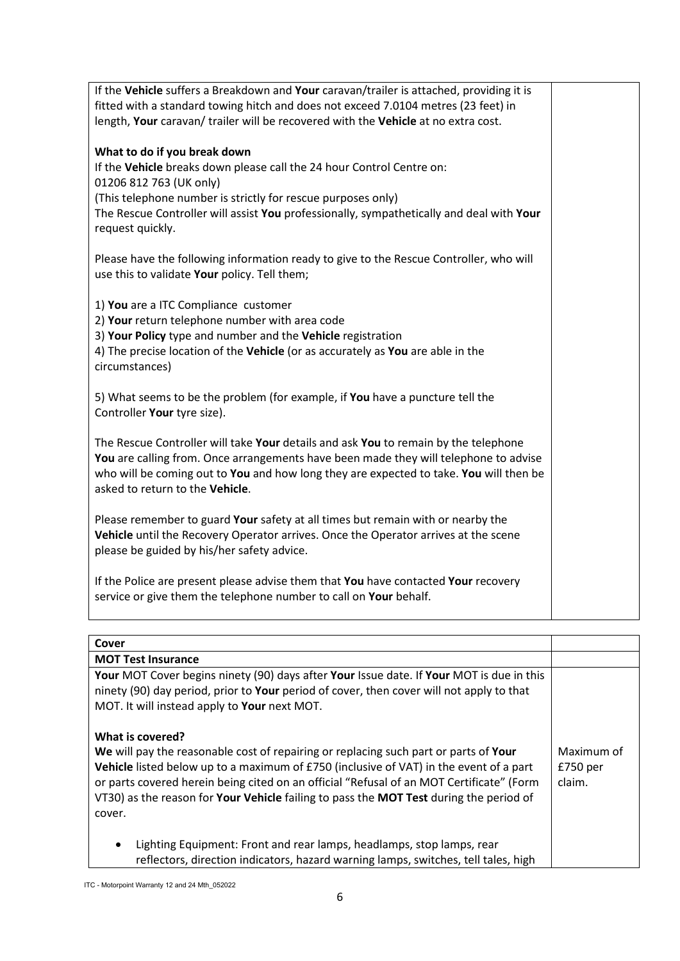| If the Vehicle suffers a Breakdown and Your caravan/trailer is attached, providing it is |  |
|------------------------------------------------------------------------------------------|--|
| fitted with a standard towing hitch and does not exceed 7.0104 metres (23 feet) in       |  |
| length, Your caravan/ trailer will be recovered with the Vehicle at no extra cost.       |  |
|                                                                                          |  |
| What to do if you break down                                                             |  |
| If the Vehicle breaks down please call the 24 hour Control Centre on:                    |  |
| 01206 812 763 (UK only)                                                                  |  |
| (This telephone number is strictly for rescue purposes only)                             |  |
| The Rescue Controller will assist You professionally, sympathetically and deal with Your |  |
| request quickly.                                                                         |  |
|                                                                                          |  |
| Please have the following information ready to give to the Rescue Controller, who will   |  |
|                                                                                          |  |
| use this to validate Your policy. Tell them;                                             |  |
|                                                                                          |  |
| 1) You are a ITC Compliance customer                                                     |  |
| 2) Your return telephone number with area code                                           |  |
| 3) Your Policy type and number and the Vehicle registration                              |  |
| 4) The precise location of the Vehicle (or as accurately as You are able in the          |  |
| circumstances)                                                                           |  |
|                                                                                          |  |
| 5) What seems to be the problem (for example, if You have a puncture tell the            |  |
| Controller Your tyre size).                                                              |  |
|                                                                                          |  |
| The Rescue Controller will take Your details and ask You to remain by the telephone      |  |
| You are calling from. Once arrangements have been made they will telephone to advise     |  |
| who will be coming out to You and how long they are expected to take. You will then be   |  |
| asked to return to the Vehicle.                                                          |  |
|                                                                                          |  |
| Please remember to guard Your safety at all times but remain with or nearby the          |  |
| Vehicle until the Recovery Operator arrives. Once the Operator arrives at the scene      |  |
| please be guided by his/her safety advice.                                               |  |
|                                                                                          |  |
| If the Police are present please advise them that You have contacted Your recovery       |  |
| service or give them the telephone number to call on Your behalf.                        |  |
|                                                                                          |  |

| Cover                                                                                                                                                                                                                                                                                                                                                                                                                                             |  |
|---------------------------------------------------------------------------------------------------------------------------------------------------------------------------------------------------------------------------------------------------------------------------------------------------------------------------------------------------------------------------------------------------------------------------------------------------|--|
| <b>MOT Test Insurance</b>                                                                                                                                                                                                                                                                                                                                                                                                                         |  |
| Your MOT Cover begins ninety (90) days after Your Issue date. If Your MOT is due in this<br>ninety (90) day period, prior to Your period of cover, then cover will not apply to that<br>MOT. It will instead apply to Your next MOT.                                                                                                                                                                                                              |  |
| What is covered?<br>We will pay the reasonable cost of repairing or replacing such part or parts of Your<br>Maximum of<br>Vehicle listed below up to a maximum of £750 (inclusive of VAT) in the event of a part<br>£750 <sub>per</sub><br>or parts covered herein being cited on an official "Refusal of an MOT Certificate" (Form<br>claim.<br>VT30) as the reason for Your Vehicle failing to pass the MOT Test during the period of<br>cover. |  |
| Lighting Equipment: Front and rear lamps, headlamps, stop lamps, rear<br>٠<br>reflectors, direction indicators, hazard warning lamps, switches, tell tales, high                                                                                                                                                                                                                                                                                  |  |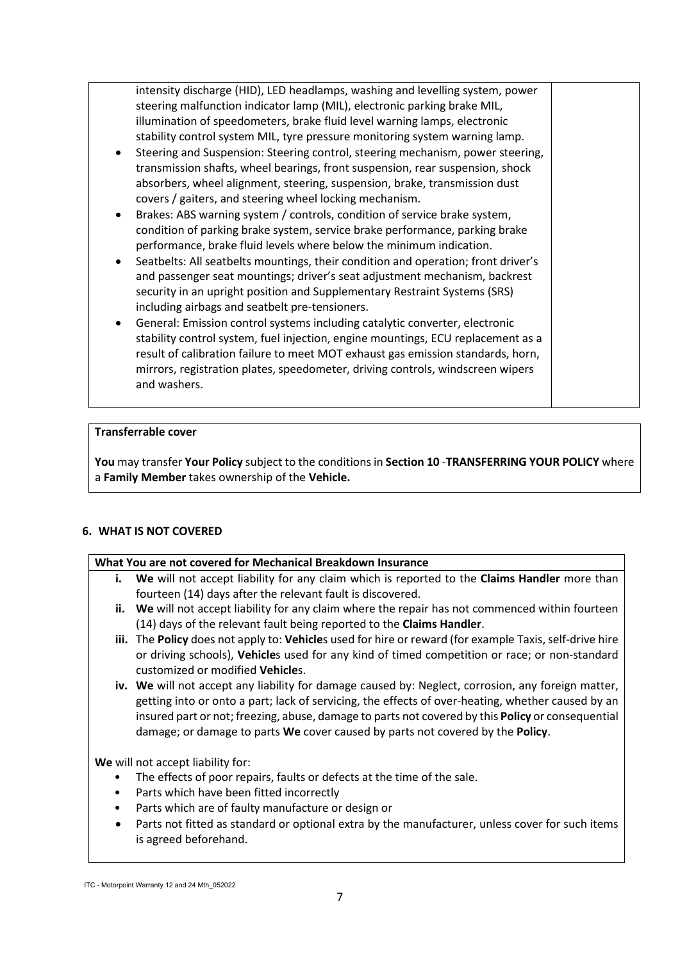intensity discharge (HID), LED headlamps, washing and levelling system, power steering malfunction indicator lamp (MIL), electronic parking brake MIL, illumination of speedometers, brake fluid level warning lamps, electronic stability control system MIL, tyre pressure monitoring system warning lamp.

- Steering and Suspension: Steering control, steering mechanism, power steering, transmission shafts, wheel bearings, front suspension, rear suspension, shock absorbers, wheel alignment, steering, suspension, brake, transmission dust covers / gaiters, and steering wheel locking mechanism.
- Brakes: ABS warning system / controls, condition of service brake system, condition of parking brake system, service brake performance, parking brake performance, brake fluid levels where below the minimum indication.
- Seatbelts: All seatbelts mountings, their condition and operation; front driver's and passenger seat mountings; driver's seat adjustment mechanism, backrest security in an upright position and Supplementary Restraint Systems (SRS) including airbags and seatbelt pre-tensioners.
- General: Emission control systems including catalytic converter, electronic stability control system, fuel injection, engine mountings, ECU replacement as a result of calibration failure to meet MOT exhaust gas emission standards, horn, mirrors, registration plates, speedometer, driving controls, windscreen wipers and washers.

## **Transferrable cover**

**You** may transfer **Your Policy** subject to the conditions in **Section 10** -**TRANSFERRING YOUR POLICY** where a **Family Member** takes ownership of the **Vehicle.**

# **6. WHAT IS NOT COVERED**

# **What You are not covered for Mechanical Breakdown Insurance**

- **i. We** will not accept liability for any claim which is reported to the **Claims Handler** more than fourteen (14) days after the relevant fault is discovered.
- **ii. We** will not accept liability for any claim where the repair has not commenced within fourteen (14) days of the relevant fault being reported to the **Claims Handler**.
- **iii.** The **Policy** does not apply to: **Vehicle**s used for hire or reward (for example Taxis, self-drive hire or driving schools), **Vehicle**s used for any kind of timed competition or race; or non-standard customized or modified **Vehicle**s.
- **iv. We** will not accept any liability for damage caused by: Neglect, corrosion, any foreign matter, getting into or onto a part; lack of servicing, the effects of over-heating, whether caused by an insured part or not; freezing, abuse, damage to parts not covered by this **Policy** or consequential damage; or damage to parts **We** cover caused by parts not covered by the **Policy**.

**We** will not accept liability for:

- The effects of poor repairs, faults or defects at the time of the sale.
- Parts which have been fitted incorrectly
- Parts which are of faulty manufacture or design or
- Parts not fitted as standard or optional extra by the manufacturer, unless cover for such items is agreed beforehand.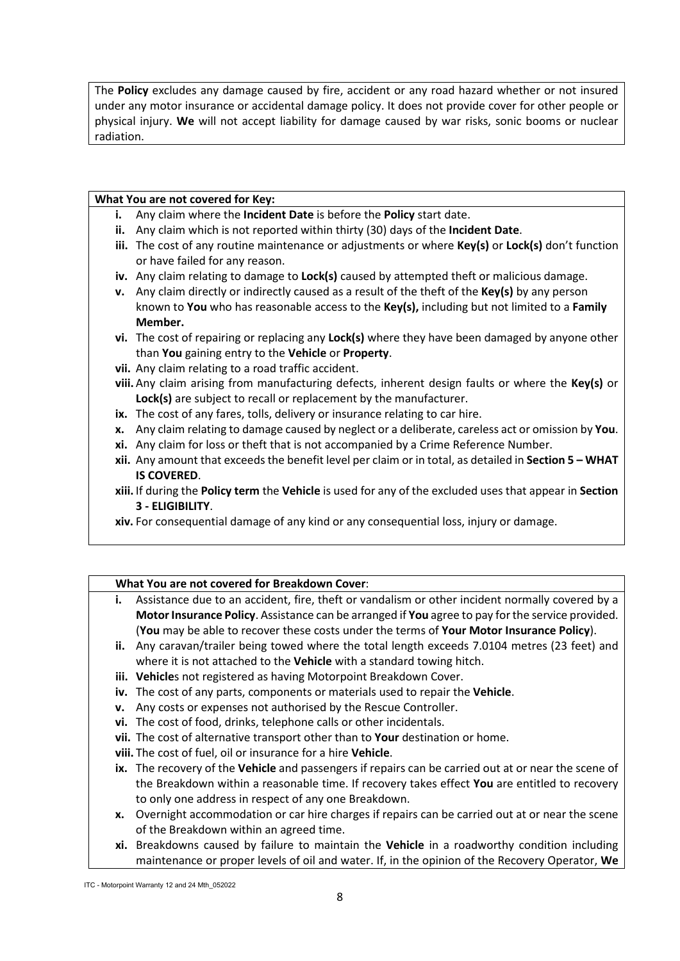The **Policy** excludes any damage caused by fire, accident or any road hazard whether or not insured under any motor insurance or accidental damage policy. It does not provide cover for other people or physical injury. **We** will not accept liability for damage caused by war risks, sonic booms or nuclear radiation.

#### **What You are not covered for Key:**

- **i.** Any claim where the **Incident Date** is before the **Policy** start date.
- **ii.** Any claim which is not reported within thirty (30) days of the **Incident Date**.
- **iii.** The cost of any routine maintenance or adjustments or where **Key(s)** or **Lock(s)** don't function or have failed for any reason.
- **iv.** Any claim relating to damage to **Lock(s)** caused by attempted theft or malicious damage.
- **v.** Any claim directly or indirectly caused as a result of the theft of the **Key(s)** by any person known to **You** who has reasonable access to the **Key(s),** including but not limited to a **Family Member.**
- **vi.** The cost of repairing or replacing any **Lock(s)** where they have been damaged by anyone other than **You** gaining entry to the **Vehicle** or **Property**.
- **vii.** Any claim relating to a road traffic accident.
- **viii.** Any claim arising from manufacturing defects, inherent design faults or where the **Key(s)** or **Lock(s)** are subject to recall or replacement by the manufacturer.
- **ix.** The cost of any fares, tolls, delivery or insurance relating to car hire.
- **x.** Any claim relating to damage caused by neglect or a deliberate, careless act or omission by **You**.
- **xi.** Any claim for loss or theft that is not accompanied by a Crime Reference Number.
- **xii.** Any amount that exceeds the benefit level per claim or in total, as detailed in **Section 5 – WHAT IS COVERED**.
- **xiii.** If during the **Policy term** the **Vehicle** is used for any of the excluded uses that appear in **Section 3 - ELIGIBILITY**.
- **xiv.** For consequential damage of any kind or any consequential loss, injury or damage.

#### **What You are not covered for Breakdown Cover**:

- **i.** Assistance due to an accident, fire, theft or vandalism or other incident normally covered by a **Motor Insurance Policy**. Assistance can be arranged if **You** agree to pay for the service provided. (**You** may be able to recover these costs under the terms of **Your Motor Insurance Policy**).
- **ii.** Any caravan/trailer being towed where the total length exceeds 7.0104 metres (23 feet) and where it is not attached to the **Vehicle** with a standard towing hitch.
- **iii. Vehicle**s not registered as having Motorpoint Breakdown Cover.
- **iv.** The cost of any parts, components or materials used to repair the **Vehicle**.
- **v.** Any costs or expenses not authorised by the Rescue Controller.
- **vi.** The cost of food, drinks, telephone calls or other incidentals.
- **vii.** The cost of alternative transport other than to **Your** destination or home.
- **viii.** The cost of fuel, oil or insurance for a hire **Vehicle**.
- **ix.** The recovery of the **Vehicle** and passengers if repairs can be carried out at or near the scene of the Breakdown within a reasonable time. If recovery takes effect **You** are entitled to recovery to only one address in respect of any one Breakdown.
- **x.** Overnight accommodation or car hire charges if repairs can be carried out at or near the scene of the Breakdown within an agreed time.
- **xi.** Breakdowns caused by failure to maintain the **Vehicle** in a roadworthy condition including maintenance or proper levels of oil and water. If, in the opinion of the Recovery Operator, **We**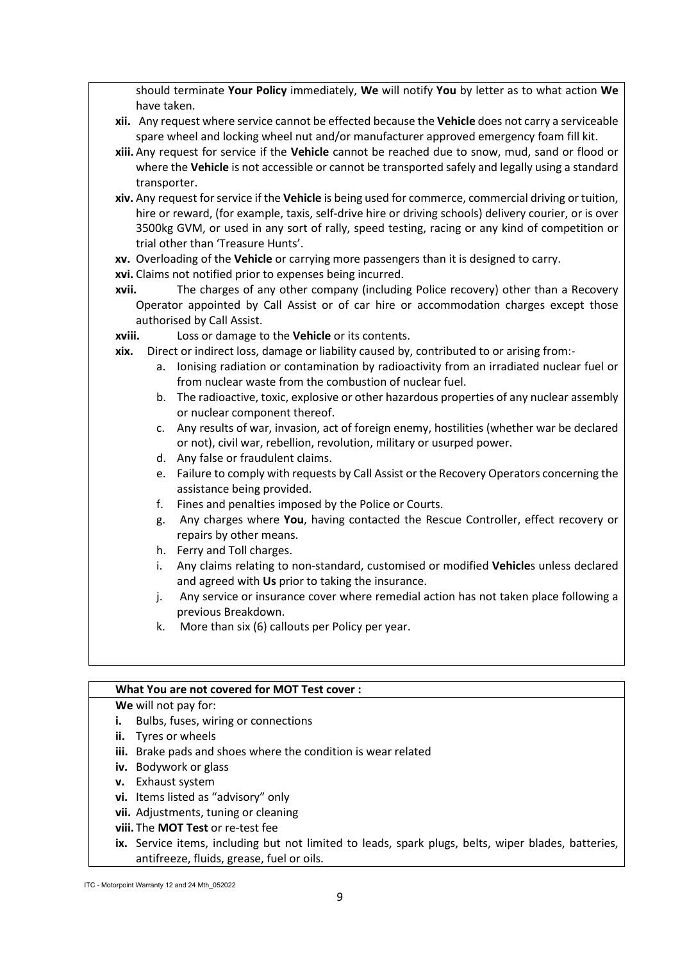should terminate **Your Policy** immediately, **We** will notify **You** by letter as to what action **We** have taken.

- **xii.** Any request where service cannot be effected because the **Vehicle** does not carry a serviceable spare wheel and locking wheel nut and/or manufacturer approved emergency foam fill kit.
- **xiii.** Any request for service if the **Vehicle** cannot be reached due to snow, mud, sand or flood or where the **Vehicle** is not accessible or cannot be transported safely and legally using a standard transporter.
- **xiv.** Any request for service if the **Vehicle** is being used for commerce, commercial driving or tuition, hire or reward, (for example, taxis, self-drive hire or driving schools) delivery courier, or is over 3500kg GVM, or used in any sort of rally, speed testing, racing or any kind of competition or trial other than 'Treasure Hunts'.
- **xv.** Overloading of the **Vehicle** or carrying more passengers than it is designed to carry.
- **xvi.** Claims not notified prior to expenses being incurred.
- **xvii.** The charges of any other company (including Police recovery) other than a Recovery Operator appointed by Call Assist or of car hire or accommodation charges except those authorised by Call Assist.
- **xviii.** Loss or damage to the **Vehicle** or its contents.
- **xix.** Direct or indirect loss, damage or liability caused by, contributed to or arising from:
	- a. Ionising radiation or contamination by radioactivity from an irradiated nuclear fuel or from nuclear waste from the combustion of nuclear fuel.
	- b. The radioactive, toxic, explosive or other hazardous properties of any nuclear assembly or nuclear component thereof.
	- c. Any results of war, invasion, act of foreign enemy, hostilities (whether war be declared or not), civil war, rebellion, revolution, military or usurped power.
	- d. Any false or fraudulent claims.
	- e. Failure to comply with requests by Call Assist or the Recovery Operators concerning the assistance being provided.
	- f. Fines and penalties imposed by the Police or Courts.
	- g. Any charges where **You**, having contacted the Rescue Controller, effect recovery or repairs by other means.
	- h. Ferry and Toll charges.
	- i. Any claims relating to non-standard, customised or modified **Vehicle**s unless declared and agreed with **Us** prior to taking the insurance.
	- j. Any service or insurance cover where remedial action has not taken place following a previous Breakdown.
	- k. More than six (6) callouts per Policy per year.

#### **What You are not covered for MOT Test cover :**

# **We** will not pay for:

- **i.** Bulbs, fuses, wiring or connections
- **ii.** Tyres or wheels
- **iii.** Brake pads and shoes where the condition is wear related
- **iv.** Bodywork or glass
- **v.** Exhaust system
- **vi.** Items listed as "advisory" only
- **vii.** Adjustments, tuning or cleaning
- **viii.** The **MOT Test** or re-test fee
- **ix.** Service items, including but not limited to leads, spark plugs, belts, wiper blades, batteries, antifreeze, fluids, grease, fuel or oils.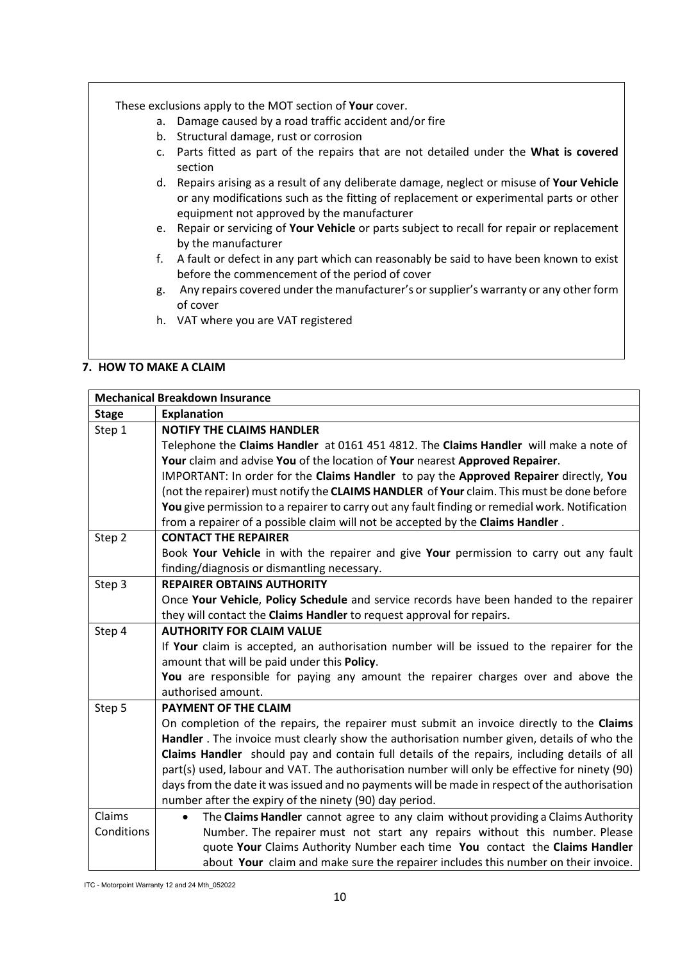These exclusions apply to the MOT section of **Your** cover.

- a. Damage caused by a road traffic accident and/or fire
- b. Structural damage, rust or corrosion
- c. Parts fitted as part of the repairs that are not detailed under the **What is covered** section
- d. Repairs arising as a result of any deliberate damage, neglect or misuse of **Your Vehicle** or any modifications such as the fitting of replacement or experimental parts or other equipment not approved by the manufacturer
- e. Repair or servicing of **Your Vehicle** or parts subject to recall for repair or replacement by the manufacturer
- f. A fault or defect in any part which can reasonably be said to have been known to exist before the commencement of the period of cover
- g. Any repairs covered under the manufacturer's or supplier's warranty or any other form of cover
- h. VAT where you are VAT registered

## **7. HOW TO MAKE A CLAIM**

| <b>Mechanical Breakdown Insurance</b> |                                                                                                 |
|---------------------------------------|-------------------------------------------------------------------------------------------------|
| <b>Stage</b>                          | <b>Explanation</b>                                                                              |
| Step 1                                | <b>NOTIFY THE CLAIMS HANDLER</b>                                                                |
|                                       | Telephone the Claims Handler at 0161 451 4812. The Claims Handler will make a note of           |
|                                       | Your claim and advise You of the location of Your nearest Approved Repairer.                    |
|                                       | IMPORTANT: In order for the Claims Handler to pay the Approved Repairer directly, You           |
|                                       | (not the repairer) must notify the CLAIMS HANDLER of Your claim. This must be done before       |
|                                       | You give permission to a repairer to carry out any fault finding or remedial work. Notification |
|                                       | from a repairer of a possible claim will not be accepted by the Claims Handler.                 |
| Step 2                                | <b>CONTACT THE REPAIRER</b>                                                                     |
|                                       | Book Your Vehicle in with the repairer and give Your permission to carry out any fault          |
|                                       | finding/diagnosis or dismantling necessary.                                                     |
| Step 3                                | <b>REPAIRER OBTAINS AUTHORITY</b>                                                               |
|                                       | Once Your Vehicle, Policy Schedule and service records have been handed to the repairer         |
|                                       | they will contact the Claims Handler to request approval for repairs.                           |
| Step 4                                | <b>AUTHORITY FOR CLAIM VALUE</b>                                                                |
|                                       | If Your claim is accepted, an authorisation number will be issued to the repairer for the       |
|                                       | amount that will be paid under this Policy.                                                     |
|                                       | You are responsible for paying any amount the repairer charges over and above the               |
|                                       | authorised amount.                                                                              |
| Step 5                                | PAYMENT OF THE CLAIM                                                                            |
|                                       | On completion of the repairs, the repairer must submit an invoice directly to the Claims        |
|                                       | Handler . The invoice must clearly show the authorisation number given, details of who the      |
|                                       | Claims Handler should pay and contain full details of the repairs, including details of all     |
|                                       | part(s) used, labour and VAT. The authorisation number will only be effective for ninety (90)   |
|                                       | days from the date it was issued and no payments will be made in respect of the authorisation   |
|                                       | number after the expiry of the ninety (90) day period.                                          |
| Claims                                | The Claims Handler cannot agree to any claim without providing a Claims Authority<br>$\bullet$  |
| Conditions                            | Number. The repairer must not start any repairs without this number. Please                     |
|                                       | quote Your Claims Authority Number each time You contact the Claims Handler                     |
|                                       | about Your claim and make sure the repairer includes this number on their invoice.              |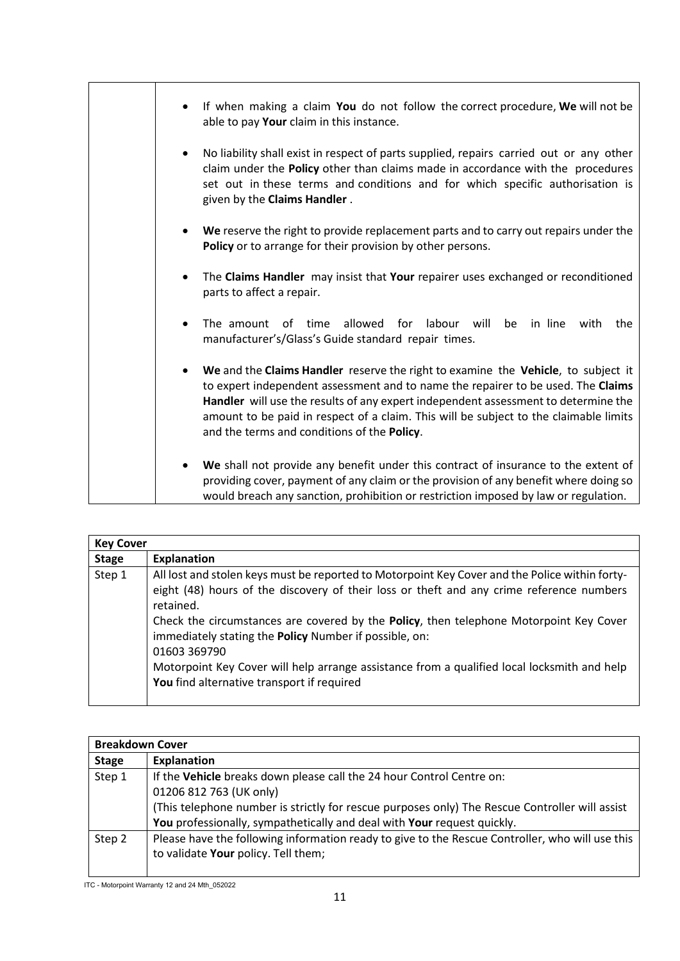| If when making a claim You do not follow the correct procedure, We will not be<br>able to pay Your claim in this instance.                                                                                                                                                                                                                                                                                       |
|------------------------------------------------------------------------------------------------------------------------------------------------------------------------------------------------------------------------------------------------------------------------------------------------------------------------------------------------------------------------------------------------------------------|
| No liability shall exist in respect of parts supplied, repairs carried out or any other<br>$\bullet$<br>claim under the Policy other than claims made in accordance with the procedures<br>set out in these terms and conditions and for which specific authorisation is<br>given by the Claims Handler.                                                                                                         |
| We reserve the right to provide replacement parts and to carry out repairs under the<br>Policy or to arrange for their provision by other persons.                                                                                                                                                                                                                                                               |
| The Claims Handler may insist that Your repairer uses exchanged or reconditioned<br>parts to affect a repair.                                                                                                                                                                                                                                                                                                    |
| allowed for labour will<br>in line<br>The amount<br>of time<br>be<br>with<br>the<br>$\bullet$<br>manufacturer's/Glass's Guide standard repair times.                                                                                                                                                                                                                                                             |
| We and the Claims Handler reserve the right to examine the Vehicle, to subject it<br>$\bullet$<br>to expert independent assessment and to name the repairer to be used. The Claims<br>Handler will use the results of any expert independent assessment to determine the<br>amount to be paid in respect of a claim. This will be subject to the claimable limits<br>and the terms and conditions of the Policy. |
| We shall not provide any benefit under this contract of insurance to the extent of<br>$\bullet$<br>providing cover, payment of any claim or the provision of any benefit where doing so<br>would breach any sanction, prohibition or restriction imposed by law or regulation.                                                                                                                                   |

| <b>Key Cover</b> |                                                                                                                                                                                                                                                                                                                                                                                                                                                                                                                          |
|------------------|--------------------------------------------------------------------------------------------------------------------------------------------------------------------------------------------------------------------------------------------------------------------------------------------------------------------------------------------------------------------------------------------------------------------------------------------------------------------------------------------------------------------------|
| <b>Stage</b>     | <b>Explanation</b>                                                                                                                                                                                                                                                                                                                                                                                                                                                                                                       |
| Step 1           | All lost and stolen keys must be reported to Motorpoint Key Cover and the Police within forty-<br>eight (48) hours of the discovery of their loss or theft and any crime reference numbers<br>retained.<br>Check the circumstances are covered by the Policy, then telephone Motorpoint Key Cover<br>immediately stating the Policy Number if possible, on:<br>01603 369790<br>Motorpoint Key Cover will help arrange assistance from a qualified local locksmith and help<br>You find alternative transport if required |

| <b>Breakdown Cover</b> |                                                                                                 |  |
|------------------------|-------------------------------------------------------------------------------------------------|--|
| <b>Stage</b>           | Explanation                                                                                     |  |
| Step 1                 | If the Vehicle breaks down please call the 24 hour Control Centre on:                           |  |
|                        | 01206 812 763 (UK only)                                                                         |  |
|                        | (This telephone number is strictly for rescue purposes only) The Rescue Controller will assist  |  |
|                        | You professionally, sympathetically and deal with Your request quickly.                         |  |
| Step 2                 | Please have the following information ready to give to the Rescue Controller, who will use this |  |
|                        | to validate Your policy. Tell them;                                                             |  |
|                        |                                                                                                 |  |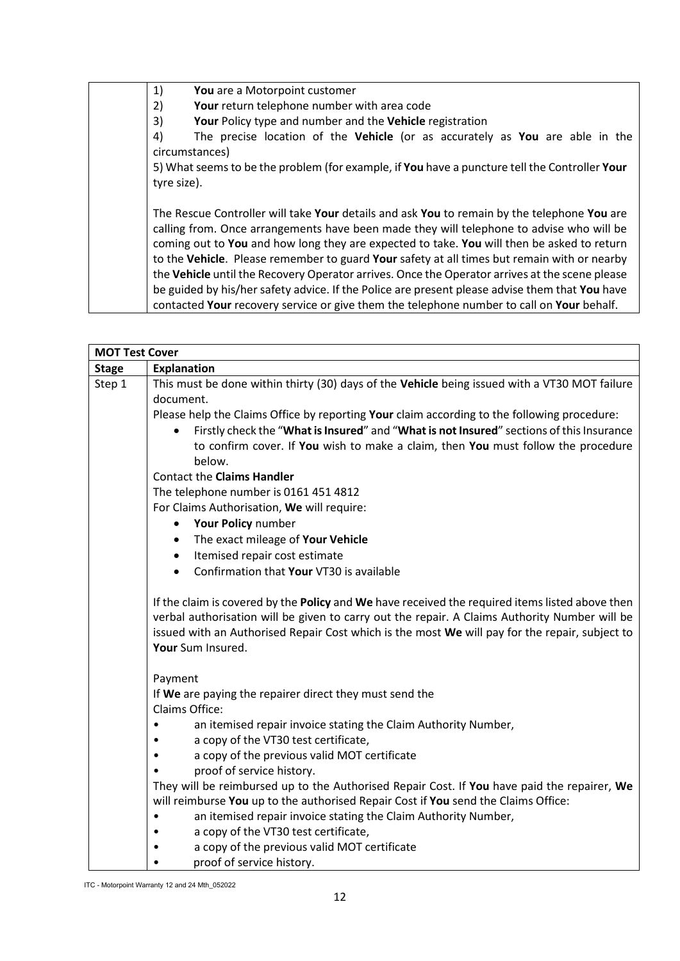1) **You** are a Motorpoint customer 2) **Your** return telephone number with area code 3) **Your** Policy type and number and the **Vehicle** registration 4) The precise location of the **Vehicle** (or as accurately as **You** are able in the circumstances) 5) What seems to be the problem (for example, if **You** have a puncture tell the Controller **Your** tyre size). The Rescue Controller will take **Your** details and ask **You** to remain by the telephone **You** are calling from. Once arrangements have been made they will telephone to advise who will be coming out to **You** and how long they are expected to take. **You** will then be asked to return to the **Vehicle**. Please remember to guard **Your** safety at all times but remain with or nearby the **Vehicle** until the Recovery Operator arrives. Once the Operator arrives at the scene please be guided by his/her safety advice. If the Police are present please advise them that **You** have contacted **Your** recovery service or give them the telephone number to call on **Your** behalf.

| <b>MOT Test Cover</b> |                                                                                                                                                                                                                                                                                                                         |  |
|-----------------------|-------------------------------------------------------------------------------------------------------------------------------------------------------------------------------------------------------------------------------------------------------------------------------------------------------------------------|--|
| <b>Stage</b>          | <b>Explanation</b>                                                                                                                                                                                                                                                                                                      |  |
| Step 1                | This must be done within thirty (30) days of the Vehicle being issued with a VT30 MOT failure                                                                                                                                                                                                                           |  |
|                       | document.                                                                                                                                                                                                                                                                                                               |  |
|                       | Please help the Claims Office by reporting Your claim according to the following procedure:                                                                                                                                                                                                                             |  |
|                       | Firstly check the "What is Insured" and "What is not Insured" sections of this Insurance<br>$\bullet$                                                                                                                                                                                                                   |  |
|                       | to confirm cover. If You wish to make a claim, then You must follow the procedure                                                                                                                                                                                                                                       |  |
|                       | below.                                                                                                                                                                                                                                                                                                                  |  |
|                       | <b>Contact the Claims Handler</b>                                                                                                                                                                                                                                                                                       |  |
|                       | The telephone number is 0161 451 4812                                                                                                                                                                                                                                                                                   |  |
|                       | For Claims Authorisation, We will require:                                                                                                                                                                                                                                                                              |  |
|                       | Your Policy number<br>$\bullet$                                                                                                                                                                                                                                                                                         |  |
|                       | The exact mileage of Your Vehicle<br>$\bullet$                                                                                                                                                                                                                                                                          |  |
|                       | Itemised repair cost estimate<br>$\bullet$                                                                                                                                                                                                                                                                              |  |
|                       | Confirmation that Your VT30 is available<br>$\bullet$                                                                                                                                                                                                                                                                   |  |
|                       | If the claim is covered by the Policy and We have received the required items listed above then<br>verbal authorisation will be given to carry out the repair. A Claims Authority Number will be<br>issued with an Authorised Repair Cost which is the most We will pay for the repair, subject to<br>Your Sum Insured. |  |
|                       | Payment                                                                                                                                                                                                                                                                                                                 |  |
|                       | If We are paying the repairer direct they must send the                                                                                                                                                                                                                                                                 |  |
|                       | Claims Office:                                                                                                                                                                                                                                                                                                          |  |
|                       | an itemised repair invoice stating the Claim Authority Number,                                                                                                                                                                                                                                                          |  |
|                       | a copy of the VT30 test certificate,                                                                                                                                                                                                                                                                                    |  |
|                       | a copy of the previous valid MOT certificate                                                                                                                                                                                                                                                                            |  |
|                       | proof of service history.                                                                                                                                                                                                                                                                                               |  |
|                       | They will be reimbursed up to the Authorised Repair Cost. If You have paid the repairer, We                                                                                                                                                                                                                             |  |
|                       | will reimburse You up to the authorised Repair Cost if You send the Claims Office:                                                                                                                                                                                                                                      |  |
|                       | an itemised repair invoice stating the Claim Authority Number,                                                                                                                                                                                                                                                          |  |
|                       | a copy of the VT30 test certificate,                                                                                                                                                                                                                                                                                    |  |
|                       | a copy of the previous valid MOT certificate                                                                                                                                                                                                                                                                            |  |
|                       | proof of service history.                                                                                                                                                                                                                                                                                               |  |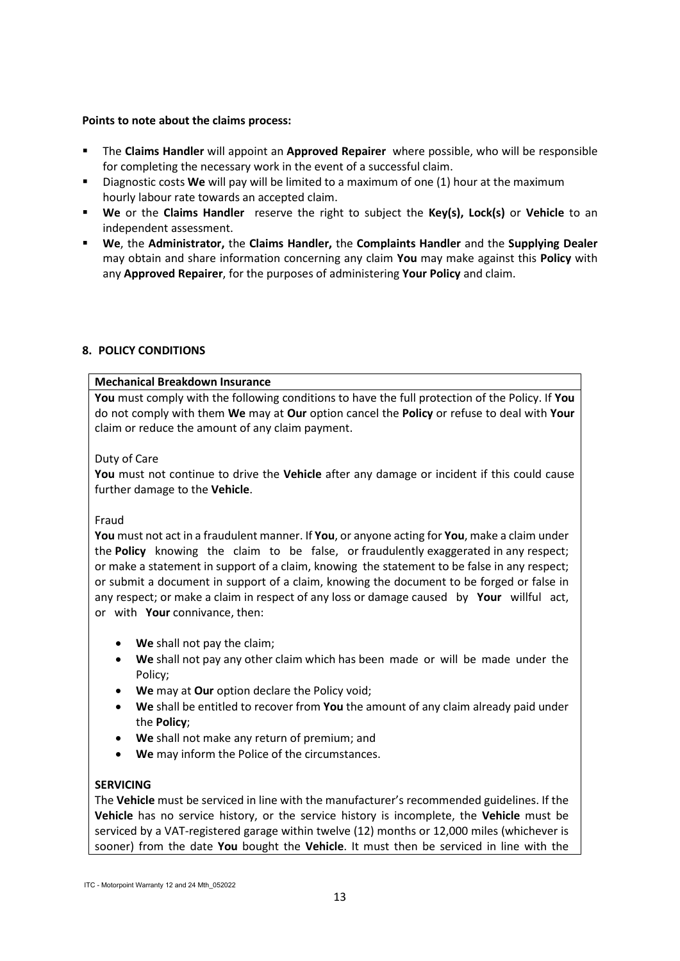### **Points to note about the claims process:**

- The **Claims Handler** will appoint an **Approved Repairer** where possible, who will be responsible for completing the necessary work in the event of a successful claim.
- Diagnostic costs **We** will pay will be limited to a maximum of one (1) hour at the maximum hourly labour rate towards an accepted claim.
- **We** or the **Claims Handler** reserve the right to subject the **Key(s), Lock(s)** or **Vehicle** to an independent assessment.
- **We**, the **Administrator,** the **Claims Handler,** the **Complaints Handler** and the **Supplying Dealer** may obtain and share information concerning any claim **You** may make against this **Policy** with any **Approved Repairer**, for the purposes of administering **Your Policy** and claim.

# **8. POLICY CONDITIONS**

## **Mechanical Breakdown Insurance**

**You** must comply with the following conditions to have the full protection of the Policy. If **You** do not comply with them **We** may at **Our** option cancel the **Policy** or refuse to deal with **Your** claim or reduce the amount of any claim payment.

## Duty of Care

**You** must not continue to drive the **Vehicle** after any damage or incident if this could cause further damage to the **Vehicle**.

#### Fraud

**You** must not act in a fraudulent manner. If **You**, or anyone acting for **You**, make a claim under the **Policy** knowing the claim to be false, or fraudulently exaggerated in any respect; or make a statement in support of a claim, knowing the statement to be false in any respect; or submit a document in support of a claim, knowing the document to be forged or false in any respect; or make a claim in respect of any loss or damage caused by **Your** willful act, or with **Your** connivance, then:

- **We** shall not pay the claim;
- **We** shall not pay any other claim which has been made or will be made under the Policy;
- **We** may at **Our** option declare the Policy void;
- **We** shall be entitled to recover from **You** the amount of any claim already paid under the **Policy**;
- **We** shall not make any return of premium; and
- **We** may inform the Police of the circumstances.

#### **SERVICING**

The **Vehicle** must be serviced in line with the manufacturer's recommended guidelines. If the **Vehicle** has no service history, or the service history is incomplete, the **Vehicle** must be serviced by a VAT-registered garage within twelve (12) months or 12,000 miles (whichever is sooner) from the date **You** bought the **Vehicle**. It must then be serviced in line with the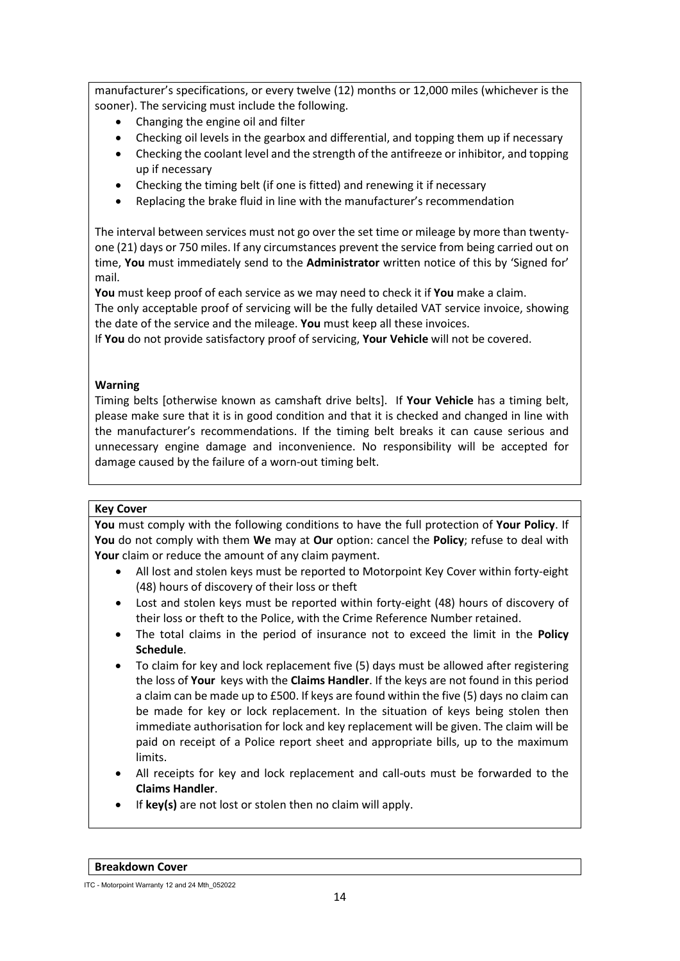manufacturer's specifications, or every twelve (12) months or 12,000 miles (whichever is the sooner). The servicing must include the following.

- Changing the engine oil and filter
- Checking oil levels in the gearbox and differential, and topping them up if necessary
- Checking the coolant level and the strength of the antifreeze or inhibitor, and topping up if necessary
- Checking the timing belt (if one is fitted) and renewing it if necessary
- Replacing the brake fluid in line with the manufacturer's recommendation

The interval between services must not go over the set time or mileage by more than twentyone (21) days or 750 miles. If any circumstances prevent the service from being carried out on time, **You** must immediately send to the **Administrator** written notice of this by 'Signed for' mail.

**You** must keep proof of each service as we may need to check it if **You** make a claim.

The only acceptable proof of servicing will be the fully detailed VAT service invoice, showing the date of the service and the mileage. **You** must keep all these invoices.

If **You** do not provide satisfactory proof of servicing, **Your Vehicle** will not be covered.

# **Warning**

Timing belts [otherwise known as camshaft drive belts]. If **Your Vehicle** has a timing belt, please make sure that it is in good condition and that it is checked and changed in line with the manufacturer's recommendations. If the timing belt breaks it can cause serious and unnecessary engine damage and inconvenience. No responsibility will be accepted for damage caused by the failure of a worn-out timing belt.

# **Key Cover**

**You** must comply with the following conditions to have the full protection of **Your Policy**. If **You** do not comply with them **We** may at **Our** option: cancel the **Policy**; refuse to deal with **Your** claim or reduce the amount of any claim payment.

- All lost and stolen keys must be reported to Motorpoint Key Cover within forty-eight (48) hours of discovery of their loss or theft
- Lost and stolen keys must be reported within forty-eight (48) hours of discovery of their loss or theft to the Police, with the Crime Reference Number retained.
- The total claims in the period of insurance not to exceed the limit in the **Policy Schedule**.
- To claim for key and lock replacement five (5) days must be allowed after registering the loss of **Your** keys with the **Claims Handler**. If the keys are not found in this period a claim can be made up to £500. If keys are found within the five (5) days no claim can be made for key or lock replacement. In the situation of keys being stolen then immediate authorisation for lock and key replacement will be given. The claim will be paid on receipt of a Police report sheet and appropriate bills, up to the maximum limits.
- All receipts for key and lock replacement and call-outs must be forwarded to the **Claims Handler**.
- If **key(s)** are not lost or stolen then no claim will apply.

ITC - Motorpoint Warranty 12 and 24 Mth\_052022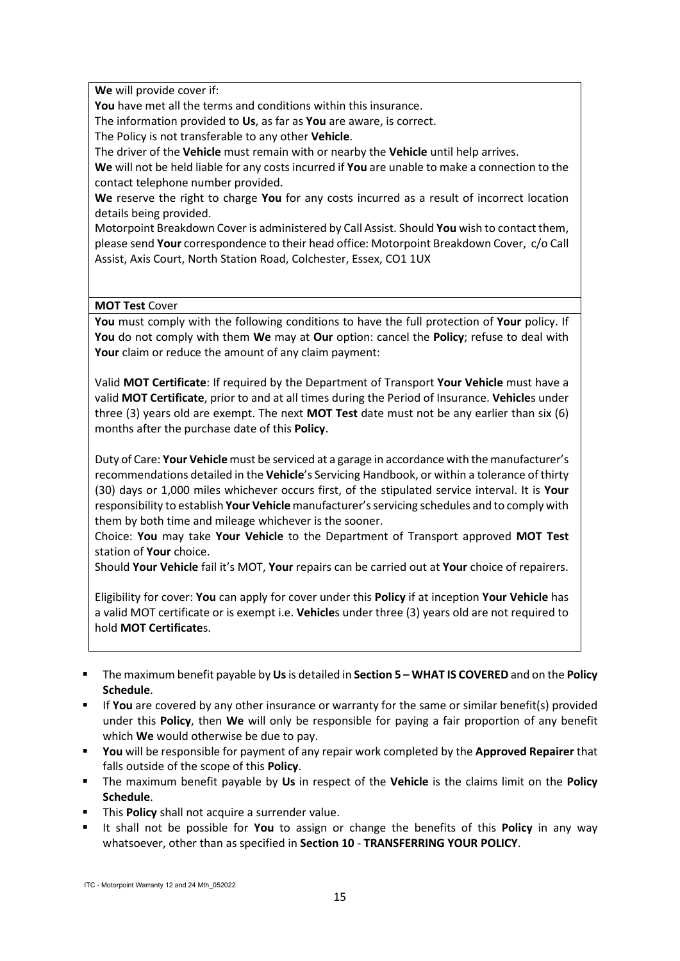**We** will provide cover if:

**You** have met all the terms and conditions within this insurance.

The information provided to **Us**, as far as **You** are aware, is correct.

The Policy is not transferable to any other **Vehicle**.

The driver of the **Vehicle** must remain with or nearby the **Vehicle** until help arrives.

**We** will not be held liable for any costs incurred if **You** are unable to make a connection to the contact telephone number provided.

**We** reserve the right to charge **You** for any costs incurred as a result of incorrect location details being provided.

Motorpoint Breakdown Cover is administered by Call Assist. Should **You** wish to contact them, please send **Your** correspondence to their head office: Motorpoint Breakdown Cover, c/o Call Assist, Axis Court, North Station Road, Colchester, Essex, CO1 1UX

**MOT Test** Cover

**You** must comply with the following conditions to have the full protection of **Your** policy. If **You** do not comply with them **We** may at **Our** option: cancel the **Policy**; refuse to deal with **Your** claim or reduce the amount of any claim payment:

Valid **MOT Certificate**: If required by the Department of Transport **Your Vehicle** must have a valid **MOT Certificate**, prior to and at all times during the Period of Insurance. **Vehicle**s under three (3) years old are exempt. The next **MOT Test** date must not be any earlier than six (6) months after the purchase date of this **Policy**.

Duty of Care: **Your Vehicle** must be serviced at a garage in accordance with the manufacturer's recommendations detailed in the **Vehicle**'s Servicing Handbook, or within a tolerance of thirty (30) days or 1,000 miles whichever occurs first, of the stipulated service interval. It is **Your** responsibility to establish **Your Vehicle** manufacturer's servicing schedules and to comply with them by both time and mileage whichever is the sooner.

Choice: **You** may take **Your Vehicle** to the Department of Transport approved **MOT Test** station of **Your** choice.

Should **Your Vehicle** fail it's MOT, **Your** repairs can be carried out at **Your** choice of repairers.

Eligibility for cover: **You** can apply for cover under this **Policy** if at inception **Your Vehicle** has a valid MOT certificate or is exempt i.e. **Vehicle**s under three (3) years old are not required to hold **MOT Certificate**s.

- The maximum benefit payable by **Us**is detailed in **Section 5 – WHAT IS COVERED** and on the **Policy Schedule**.
- **If You** are covered by any other insurance or warranty for the same or similar benefit(s) provided under this **Policy**, then **We** will only be responsible for paying a fair proportion of any benefit which **We** would otherwise be due to pay.
- **You** will be responsible for payment of any repair work completed by the **Approved Repairer** that falls outside of the scope of this **Policy**.
- The maximum benefit payable by **Us** in respect of the **Vehicle** is the claims limit on the **Policy Schedule**.
- **This Policy** shall not acquire a surrender value.
- It shall not be possible for **You** to assign or change the benefits of this **Policy** in any way whatsoever, other than as specified in **Section 10** - **TRANSFERRING YOUR POLICY**.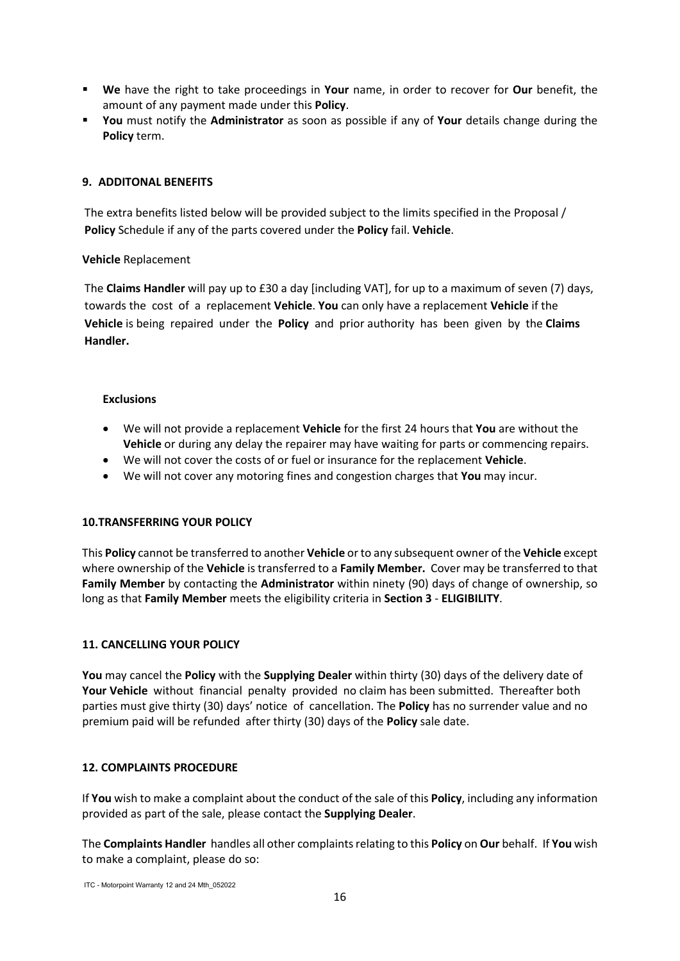- **We** have the right to take proceedings in **Your** name, in order to recover for **Our** benefit, the amount of any payment made under this **Policy**.
- **You** must notify the **Administrator** as soon as possible if any of **Your** details change during the **Policy** term.

## **9. ADDITONAL BENEFITS**

The extra benefits listed below will be provided subject to the limits specified in the Proposal / **Policy** Schedule if any of the parts covered under the **Policy** fail. **Vehicle**.

## **Vehicle** Replacement

The **Claims Handler** will pay up to £30 a day [including VAT], for up to a maximum of seven (7) days, towards the cost of a replacement **Vehicle**. **You** can only have a replacement **Vehicle** if the **Vehicle** is being repaired under the **Policy** and prior authority has been given by the **Claims Handler.** 

## **Exclusions**

- We will not provide a replacement **Vehicle** for the first 24 hours that **You** are without the **Vehicle** or during any delay the repairer may have waiting for parts or commencing repairs.
- We will not cover the costs of or fuel or insurance for the replacement **Vehicle**.
- We will not cover any motoring fines and congestion charges that **You** may incur.

#### **10.TRANSFERRING YOUR POLICY**

This **Policy** cannot be transferred to another **Vehicle** or to any subsequent owner of the **Vehicle** except where ownership of the **Vehicle** is transferred to a **Family Member.** Cover may be transferred to that **Family Member** by contacting the **Administrator** within ninety (90) days of change of ownership, so long as that **Family Member** meets the eligibility criteria in **Section 3** - **ELIGIBILITY**.

### **11. CANCELLING YOUR POLICY**

**You** may cancel the **Policy** with the **Supplying Dealer** within thirty (30) days of the delivery date of **Your Vehicle** without financial penalty provided no claim has been submitted. Thereafter both parties must give thirty (30) days' notice of cancellation. The **Policy** has no surrender value and no premium paid will be refunded after thirty (30) days of the **Policy** sale date.

#### **12. COMPLAINTS PROCEDURE**

If **You** wish to make a complaint about the conduct of the sale of this **Policy**, including any information provided as part of the sale, please contact the **Supplying Dealer**.

The **Complaints Handler** handles all other complaints relating to this **Policy** on **Our** behalf. If **You** wish to make a complaint, please do so: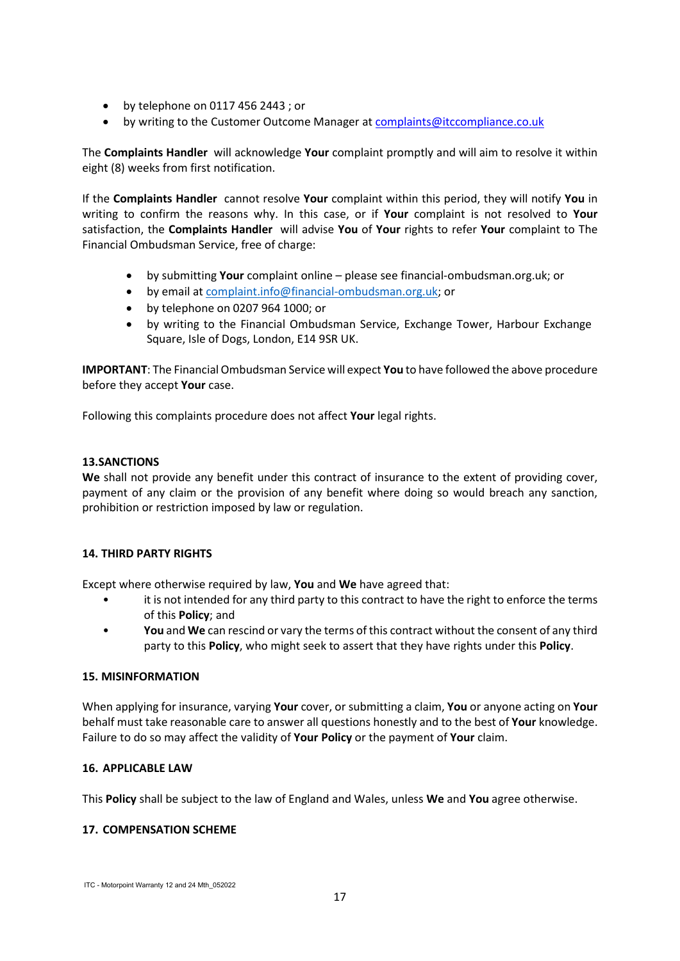- by telephone on 0117 456 2443 ; or
- by writing to the Customer Outcome Manager a[t complaints@itccompliance.co.uk](mailto:complaints@itccompliance.co.uk)

The **Complaints Handler** will acknowledge **Your** complaint promptly and will aim to resolve it within eight (8) weeks from first notification.

If the **Complaints Handler** cannot resolve **Your** complaint within this period, they will notify **You** in writing to confirm the reasons why. In this case, or if **Your** complaint is not resolved to **Your** satisfaction, the **Complaints Handler** will advise **You** of **Your** rights to refer **Your** complaint to The Financial Ombudsman Service, free of charge:

- by submitting **Your** complaint online please see financial-ombudsman.org.uk; or
- by email at [complaint.info@financial-ombudsman.org.uk;](mailto:complaint.info@financial-ombudsman.org.uk) or
- by telephone on 0207 964 1000; or
- by writing to the Financial Ombudsman Service, Exchange Tower, Harbour Exchange Square, Isle of Dogs, London, E14 9SR UK.

**IMPORTANT**: The Financial Ombudsman Service will expect **You** to have followed the above procedure before they accept **Your** case.

Following this complaints procedure does not affect **Your** legal rights.

## **13.SANCTIONS**

**We** shall not provide any benefit under this contract of insurance to the extent of providing cover, payment of any claim or the provision of any benefit where doing so would breach any sanction, prohibition or restriction imposed by law or regulation.

# **14. THIRD PARTY RIGHTS**

Except where otherwise required by law, **You** and **We** have agreed that:

- it is not intended for any third party to this contract to have the right to enforce the terms of this **Policy**; and
- **You** and **We** can rescind or vary the terms of this contract without the consent of any third party to this **Policy**, who might seek to assert that they have rights under this **Policy**.

#### **15. MISINFORMATION**

When applying for insurance, varying **Your** cover, or submitting a claim, **You** or anyone acting on **Your** behalf must take reasonable care to answer all questions honestly and to the best of **Your** knowledge. Failure to do so may affect the validity of **Your Policy** or the payment of **Your** claim.

#### **16. APPLICABLE LAW**

This **Policy** shall be subject to the law of England and Wales, unless **We** and **You** agree otherwise.

# **17. COMPENSATION SCHEME**

ITC - Motorpoint Warranty 12 and 24 Mth\_052022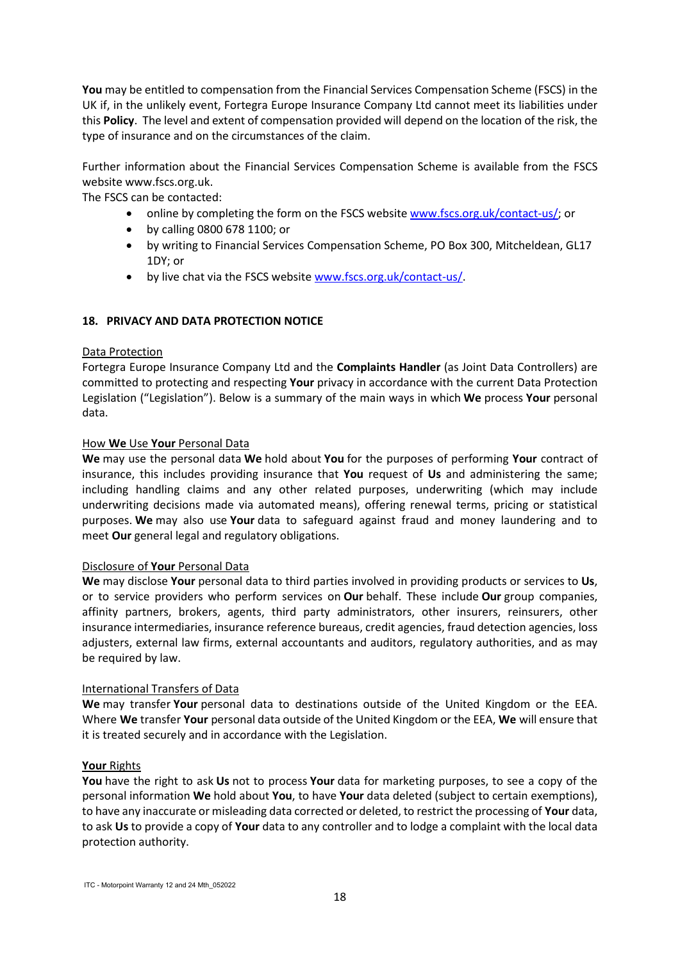**You** may be entitled to compensation from the Financial Services Compensation Scheme (FSCS) in the UK if, in the unlikely event, Fortegra Europe Insurance Company Ltd cannot meet its liabilities under this **Policy**. The level and extent of compensation provided will depend on the location of the risk, the type of insurance and on the circumstances of the claim.

Further information about the Financial Services Compensation Scheme is available from the FSCS website www.fscs.org.uk.

The FSCS can be contacted:

- online by completing the form on the FSCS website [www.fscs.org.uk/contact-us/;](http://www.fscs.org.uk/contact-us/) or
- by calling 0800 678 1100; or
- by writing to Financial Services Compensation Scheme, PO Box 300, Mitcheldean, GL17 1DY; or
- by live chat via the FSCS website [www.fscs.org.uk/contact-us/.](http://www.fscs.org.uk/contact-us/)

## **18. PRIVACY AND DATA PROTECTION NOTICE**

#### Data Protection

Fortegra Europe Insurance Company Ltd and the **Complaints Handler** (as Joint Data Controllers) are committed to protecting and respecting **Your** privacy in accordance with the current Data Protection Legislation ("Legislation"). Below is a summary of the main ways in which **We** process **Your** personal data.

#### How **We** Use **Your** Personal Data

**We** may use the personal data **We** hold about **You** for the purposes of performing **Your** contract of insurance, this includes providing insurance that **You** request of **Us** and administering the same; including handling claims and any other related purposes, underwriting (which may include underwriting decisions made via automated means), offering renewal terms, pricing or statistical purposes. **We** may also use **Your** data to safeguard against fraud and money laundering and to meet **Our** general legal and regulatory obligations.

#### Disclosure of **Your** Personal Data

**We** may disclose **Your** personal data to third parties involved in providing products or services to **Us**, or to service providers who perform services on **Our** behalf. These include **Our** group companies, affinity partners, brokers, agents, third party administrators, other insurers, reinsurers, other insurance intermediaries, insurance reference bureaus, credit agencies, fraud detection agencies, loss adjusters, external law firms, external accountants and auditors, regulatory authorities, and as may be required by law.

#### International Transfers of Data

**We** may transfer **Your** personal data to destinations outside of the United Kingdom or the EEA. Where **We** transfer **Your** personal data outside of the United Kingdom or the EEA, **We** will ensure that it is treated securely and in accordance with the Legislation.

#### **Your** Rights

**You** have the right to ask **Us** not to process **Your** data for marketing purposes, to see a copy of the personal information **We** hold about **You**, to have **Your** data deleted (subject to certain exemptions), to have any inaccurate or misleading data corrected or deleted, to restrict the processing of **Your** data, to ask **Us** to provide a copy of **Your** data to any controller and to lodge a complaint with the local data protection authority.